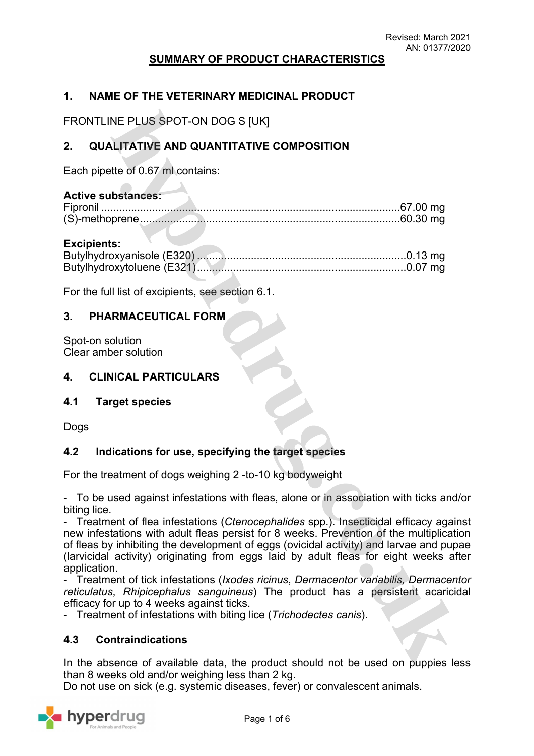## **SUMMARY OF PRODUCT CHARACTERISTICS**

# **1. NAME OF THE VETERINARY MEDICINAL PRODUCT**

FRONTLINE PLUS SPOT-ON DOG S [UK]

# **2. QUALITATIVE AND QUANTITATIVE COMPOSITION**

Each pipette of 0.67 ml contains:

## **Active substances:**

#### **Excipients:**

For the full list of excipients, see section 6.1.

## **3. PHARMACEUTICAL FORM**

Spot-on solution Clear amber solution

### **4. CLINICAL PARTICULARS**

## **4.1 Target species**

Dogs

## **4.2 Indications for use, specifying the target species**

For the treatment of dogs weighing 2 -to-10 kg bodyweight

- To be used against infestations with fleas, alone or in association with ticks and/or biting lice.

- Treatment of flea infestations (*Ctenocephalides* spp.). Insecticidal efficacy against new infestations with adult fleas persist for 8 weeks. Prevention of the multiplication of fleas by inhibiting the development of eggs (ovicidal activity) and larvae and pupae (larvicidal activity) originating from eggs laid by adult fleas for eight weeks after application.

- Treatment of tick infestations (*Ixodes ricinus*, *Dermacentor variabilis, Dermacentor reticulatus*, *Rhipicephalus sanguineus*) The product has a persistent acaricidal efficacy for up to 4 weeks against ticks.

- Treatment of infestations with biting lice (*Trichodectes canis*).

## **4.3 Contraindications**

In the absence of available data, the product should not be used on puppies less than 8 weeks old and/or weighing less than 2 kg.

Do not use on sick (e.g. systemic diseases, fever) or convalescent animals.

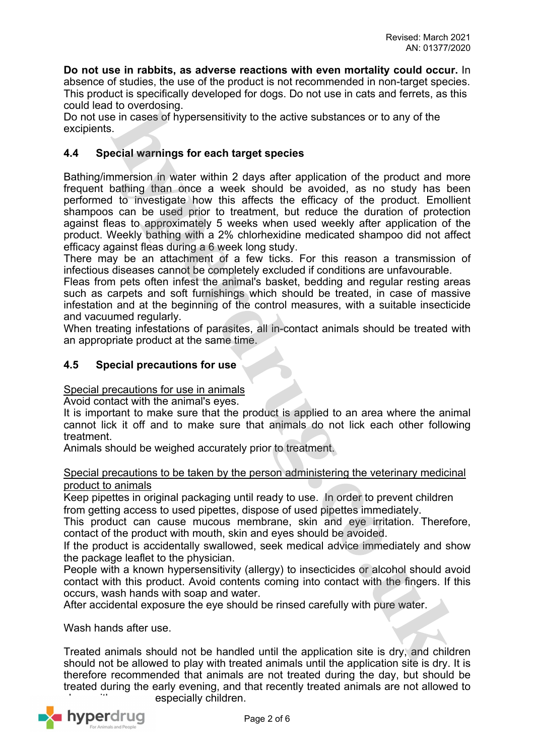**Do not use in rabbits, as adverse reactions with even mortality could occur.** In absence of studies, the use of the product is not recommended in non-target species. This product is specifically developed for dogs. Do not use in cats and ferrets, as this could lead to overdosing.

Do not use in cases of hypersensitivity to the active substances or to any of the excipients.

# **4.4 Special warnings for each target species**

Bathing/immersion in water within 2 days after application of the product and more frequent bathing than once a week should be avoided, as no study has been performed to investigate how this affects the efficacy of the product. Emollient shampoos can be used prior to treatment, but reduce the duration of protection against fleas to approximately 5 weeks when used weekly after application of the product. Weekly bathing with a 2% chlorhexidine medicated shampoo did not affect efficacy against fleas during a 6 week long study.

There may be an attachment of a few ticks. For this reason a transmission of infectious diseases cannot be completely excluded if conditions are unfavourable.

Fleas from pets often infest the animal's basket, bedding and regular resting areas such as carpets and soft furnishings which should be treated, in case of massive infestation and at the beginning of the control measures, with a suitable insecticide and vacuumed regularly.

When treating infestations of parasites, all in-contact animals should be treated with an appropriate product at the same time.

## **4.5 Special precautions for use**

Special precautions for use in animals

Avoid contact with the animal's eyes.

It is important to make sure that the product is applied to an area where the animal cannot lick it off and to make sure that animals do not lick each other following treatment.

Animals should be weighed accurately prior to treatment.

## Special precautions to be taken by the person administering the veterinary medicinal product to animals

Keep pipettes in original packaging until ready to use. In order to prevent children from getting access to used pipettes, dispose of used pipettes immediately.

This product can cause mucous membrane, skin and eye irritation. Therefore, contact of the product with mouth, skin and eyes should be avoided.

If the product is accidentally swallowed, seek medical advice immediately and show the package leaflet to the physician.

People with a known hypersensitivity (allergy) to insecticides or alcohol should avoid contact with this product. Avoid contents coming into contact with the fingers. If this occurs, wash hands with soap and water.

After accidental exposure the eye should be rinsed carefully with pure water.

Wash hands after use.

Treated animals should not be handled until the application site is dry, and children should not be allowed to play with treated animals until the application site is dry. It is therefore recommended that animals are not treated during the day, but should be treated during the early evening, and that recently treated animals are not allowed to especially children.

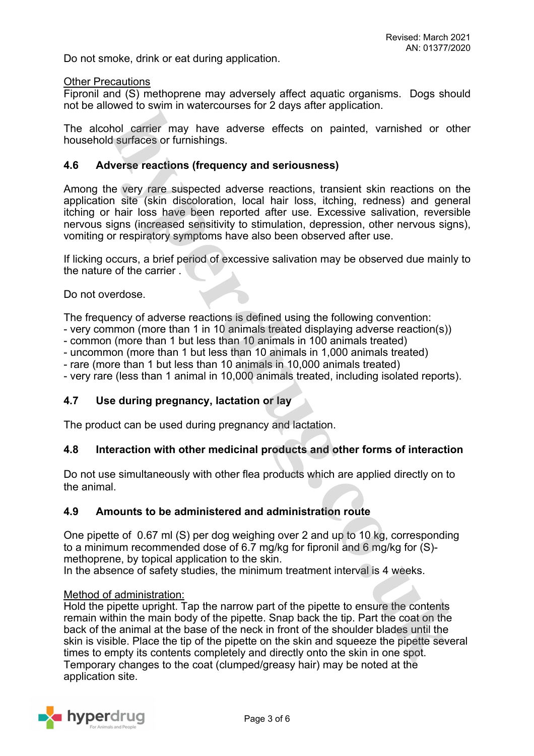Do not smoke, drink or eat during application.

#### Other Precautions

Fipronil and (S) methoprene may adversely affect aquatic organisms. Dogs should not be allowed to swim in watercourses for 2 days after application.

The alcohol carrier may have adverse effects on painted, varnished or other household surfaces or furnishings.

## **4.6 Adverse reactions (frequency and seriousness)**

Among the very rare suspected adverse reactions, transient skin reactions on the application site (skin discoloration, local hair loss, itching, redness) and general itching or hair loss have been reported after use. Excessive salivation, reversible nervous signs (increased sensitivity to stimulation, depression, other nervous signs), vomiting or respiratory symptoms have also been observed after use.

If licking occurs, a brief period of excessive salivation may be observed due mainly to the nature of the carrier .

Do not overdose.

The frequency of adverse reactions is defined using the following convention:

- very common (more than 1 in 10 animals treated displaying adverse reaction(s))
- common (more than 1 but less than 10 animals in 100 animals treated)
- uncommon (more than 1 but less than 10 animals in 1,000 animals treated)
- rare (more than 1 but less than 10 animals in 10,000 animals treated)
- very rare (less than 1 animal in 10,000 animals treated, including isolated reports).

## **4.7 Use during pregnancy, lactation or lay**

The product can be used during pregnancy and lactation.

## **4.8 Interaction with other medicinal products and other forms of interaction**

Do not use simultaneously with other flea products which are applied directly on to the animal.

## **4.9 Amounts to be administered and administration route**

One pipette of 0.67 ml (S) per dog weighing over 2 and up to 10 kg, corresponding to a minimum recommended dose of 6.7 mg/kg for fipronil and 6 mg/kg for (S) methoprene, by topical application to the skin.

In the absence of safety studies, the minimum treatment interval is 4 weeks.

### Method of administration:

Hold the pipette upright. Tap the narrow part of the pipette to ensure the contents remain within the main body of the pipette. Snap back the tip. Part the coat on the back of the animal at the base of the neck in front of the shoulder blades until the skin is visible. Place the tip of the pipette on the skin and squeeze the pipette several times to empty its contents completely and directly onto the skin in one spot. Temporary changes to the coat (clumped/greasy hair) may be noted at the application site.

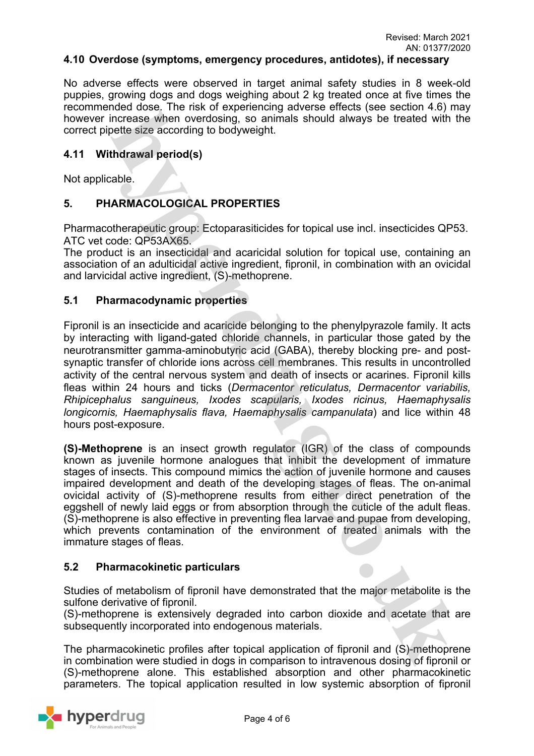#### **4.10 Overdose (symptoms, emergency procedures, antidotes), if necessary**

No adverse effects were observed in target animal safety studies in 8 week-old puppies, growing dogs and dogs weighing about 2 kg treated once at five times the recommended dose. The risk of experiencing adverse effects (see section 4.6) may however increase when overdosing, so animals should always be treated with the correct pipette size according to bodyweight.

## **4.11 Withdrawal period(s)**

Not applicable.

# **5. PHARMACOLOGICAL PROPERTIES**

Pharmacotherapeutic group: Ectoparasiticides for topical use incl. insecticides QP53. ATC vet code: QP53AX65.

The product is an insecticidal and acaricidal solution for topical use, containing an association of an adulticidal active ingredient, fipronil, in combination with an ovicidal and larvicidal active ingredient, (S)-methoprene.

## **5.1 Pharmacodynamic properties**

Fipronil is an insecticide and acaricide belonging to the phenylpyrazole family. It acts by interacting with ligand-gated chloride channels, in particular those gated by the neurotransmitter gamma-aminobutyric acid (GABA), thereby blocking pre- and postsynaptic transfer of chloride ions across cell membranes. This results in uncontrolled activity of the central nervous system and death of insects or acarines. Fipronil kills fleas within 24 hours and ticks (*Dermacentor reticulatus, Dermacentor variabilis, Rhipicephalus sanguineus, Ixodes scapularis, Ixodes ricinus, Haemaphysalis longicornis, Haemaphysalis flava, Haemaphysalis campanulata*) and lice within 48 hours post-exposure.

**(S)-Methoprene** is an insect growth regulator (IGR) of the class of compounds known as juvenile hormone analogues that inhibit the development of immature stages of insects. This compound mimics the action of juvenile hormone and causes impaired development and death of the developing stages of fleas. The on-animal ovicidal activity of (S)-methoprene results from either direct penetration of the eggshell of newly laid eggs or from absorption through the cuticle of the adult fleas. (S)-methoprene is also effective in preventing flea larvae and pupae from developing, which prevents contamination of the environment of treated animals with the immature stages of fleas.

## **5.2 Pharmacokinetic particulars**

Studies of metabolism of fipronil have demonstrated that the major metabolite is the sulfone derivative of fipronil.

(S)-methoprene is extensively degraded into carbon dioxide and acetate that are subsequently incorporated into endogenous materials.

The pharmacokinetic profiles after topical application of fipronil and (S)-methoprene in combination were studied in dogs in comparison to intravenous dosing of fipronil or (S)-methoprene alone. This established absorption and other pharmacokinetic parameters. The topical application resulted in low systemic absorption of fipronil

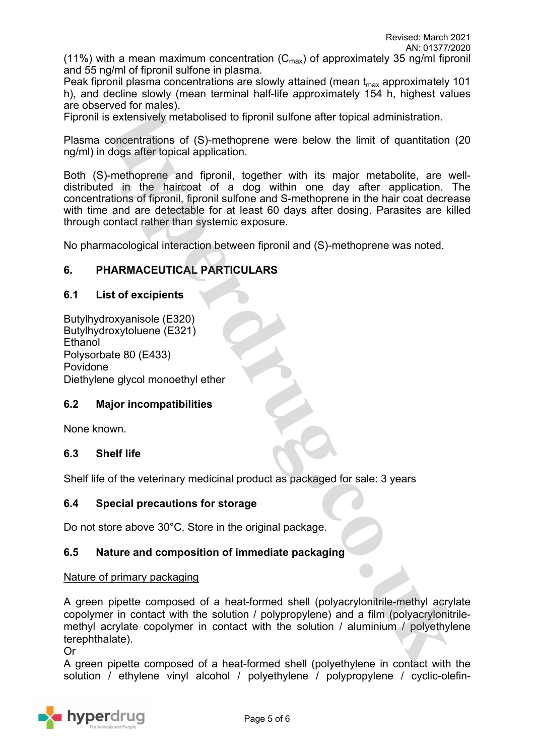(11%) with a mean maximum concentration  $(C_{\text{max}})$  of approximately 35 ng/ml fipronil and 55 ng/ml of fipronil sulfone in plasma.

Peak fipronil plasma concentrations are slowly attained (mean  $t_{\text{max}}$  approximately 101 h), and decline slowly (mean terminal half-life approximately 154 h, highest values are observed for males).

Fipronil is extensively metabolised to fipronil sulfone after topical administration.

Plasma concentrations of (S)-methoprene were below the limit of quantitation (20 ng/ml) in dogs after topical application.

Both (S)-methoprene and fipronil, together with its major metabolite, are welldistributed in the haircoat of a dog within one day after application. The concentrations of fipronil, fipronil sulfone and S-methoprene in the hair coat decrease with time and are detectable for at least 60 days after dosing. Parasites are killed through contact rather than systemic exposure.

No pharmacological interaction between fipronil and (S)-methoprene was noted.

## **6. PHARMACEUTICAL PARTICULARS**

## **6.1 List of excipients**

Butylhydroxyanisole (E320) Butylhydroxytoluene (E321) **Ethanol** Polysorbate 80 (E433) Povidone Diethylene glycol monoethyl ether

## **6.2 Major incompatibilities**

None known.

## **6.3 Shelf life**

Shelf life of the veterinary medicinal product as packaged for sale: 3 years

## **6.4 Special precautions for storage**

Do not store above 30°C. Store in the original package.

## **6.5 Nature and composition of immediate packaging**

#### Nature of primary packaging

A green pipette composed of a heat-formed shell (polyacrylonitrile-methyl acrylate copolymer in contact with the solution / polypropylene) and a film (polyacrylonitrilemethyl acrylate copolymer in contact with the solution / aluminium / polyethylene terephthalate).

Or

A green pipette composed of a heat-formed shell (polyethylene in contact with the solution / ethylene vinyl alcohol / polyethylene / polypropylene / cyclic-olefin-